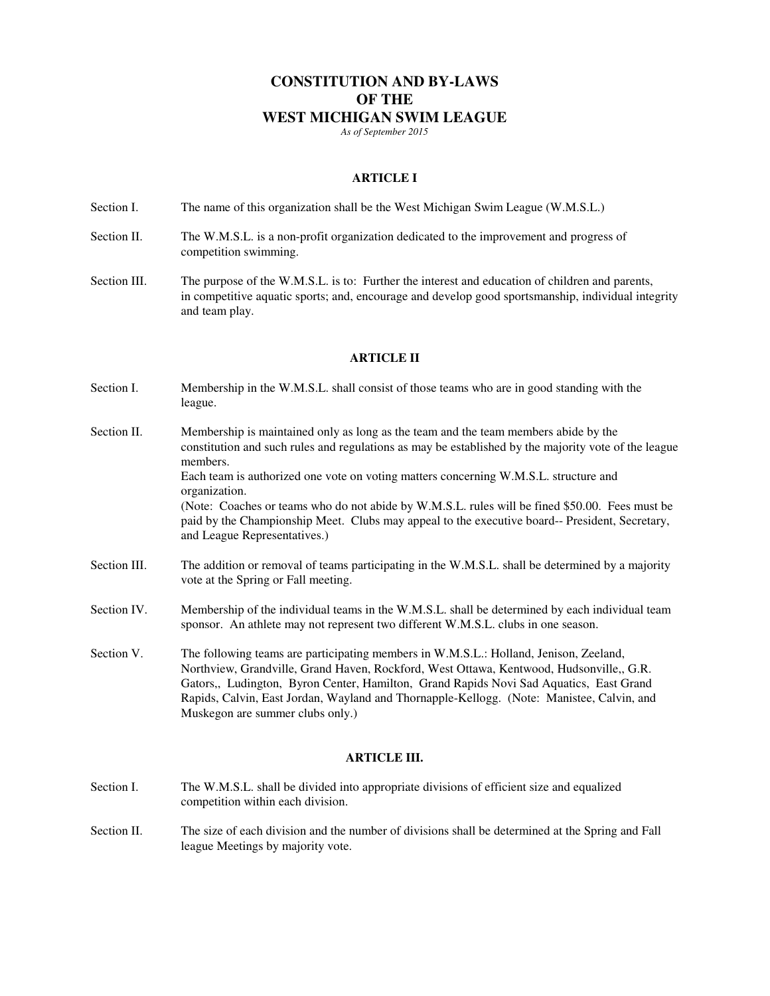# **CONSTITUTION AND BY-LAWS OF THE WEST MICHIGAN SWIM LEAGUE**

*As of September 2015* 

### **ARTICLE I**

Section I. The name of this organization shall be the West Michigan Swim League (W.M.S.L.)

- Section II. The W.M.S.L. is a non-profit organization dedicated to the improvement and progress of competition swimming.
- Section III. The purpose of the W.M.S.L. is to: Further the interest and education of children and parents, in competitive aquatic sports; and, encourage and develop good sportsmanship, individual integrity and team play.

#### **ARTICLE II**

- Section I. Membership in the W.M.S.L. shall consist of those teams who are in good standing with the league.
- Section II. Membership is maintained only as long as the team and the team members abide by the constitution and such rules and regulations as may be established by the majority vote of the league members. Each team is authorized one vote on voting matters concerning W.M.S.L. structure and organization. (Note: Coaches or teams who do not abide by W.M.S.L. rules will be fined \$50.00. Fees must be paid by the Championship Meet. Clubs may appeal to the executive board-- President, Secretary, and League Representatives.)
- Section III. The addition or removal of teams participating in the W.M.S.L. shall be determined by a majority vote at the Spring or Fall meeting.
- Section IV. Membership of the individual teams in the W.M.S.L. shall be determined by each individual team sponsor. An athlete may not represent two different W.M.S.L. clubs in one season.
- Section V. The following teams are participating members in W.M.S.L.: Holland, Jenison, Zeeland, Northview, Grandville, Grand Haven, Rockford, West Ottawa, Kentwood, Hudsonville,, G.R. Gators,, Ludington, Byron Center, Hamilton, Grand Rapids Novi Sad Aquatics, East Grand Rapids, Calvin, East Jordan, Wayland and Thornapple-Kellogg. (Note: Manistee, Calvin, and Muskegon are summer clubs only.)

### **ARTICLE III.**

- Section I. The W.M.S.L. shall be divided into appropriate divisions of efficient size and equalized competition within each division.
- Section II. The size of each division and the number of divisions shall be determined at the Spring and Fall league Meetings by majority vote.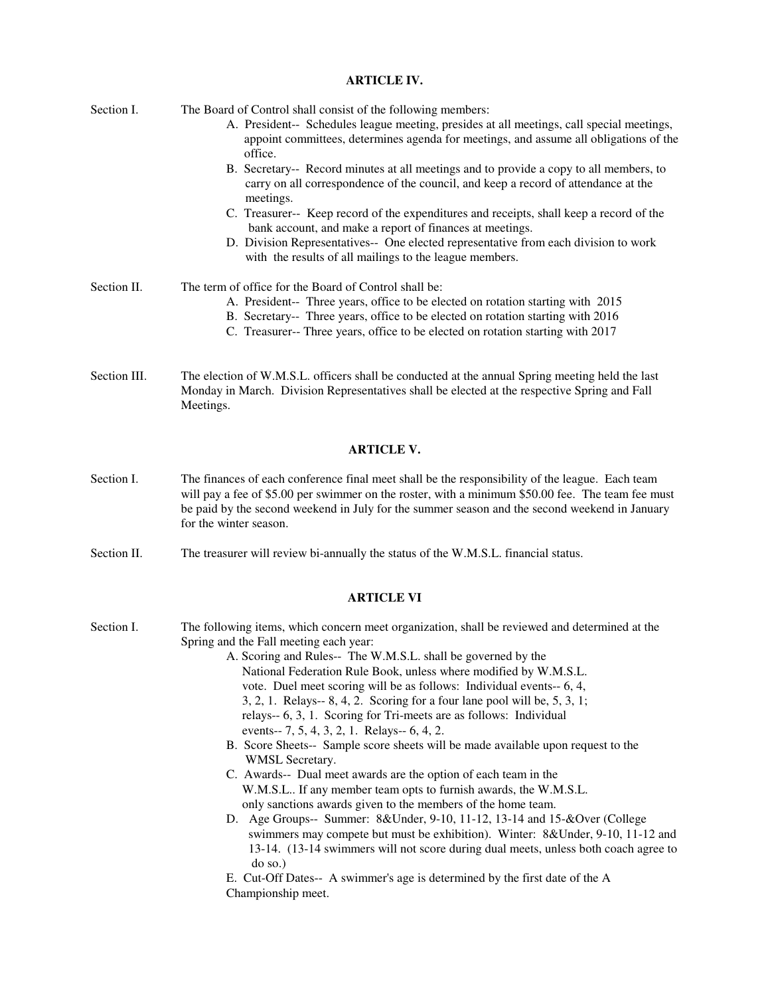#### **ARTICLE IV.**

| Section I.   | The Board of Control shall consist of the following members:<br>A. President-- Schedules league meeting, presides at all meetings, call special meetings,<br>appoint committees, determines agenda for meetings, and assume all obligations of the<br>office. |
|--------------|---------------------------------------------------------------------------------------------------------------------------------------------------------------------------------------------------------------------------------------------------------------|
|              | B. Secretary-- Record minutes at all meetings and to provide a copy to all members, to<br>carry on all correspondence of the council, and keep a record of attendance at the<br>meetings.                                                                     |
|              | C. Treasurer-- Keep record of the expenditures and receipts, shall keep a record of the<br>bank account, and make a report of finances at meetings.                                                                                                           |
|              | D. Division Representatives-- One elected representative from each division to work<br>with the results of all mailings to the league members.                                                                                                                |
| Section II.  | The term of office for the Board of Control shall be:                                                                                                                                                                                                         |
|              | A. President-- Three years, office to be elected on rotation starting with 2015                                                                                                                                                                               |
|              | B. Secretary-- Three years, office to be elected on rotation starting with 2016                                                                                                                                                                               |
|              | C. Treasurer-- Three years, office to be elected on rotation starting with 2017                                                                                                                                                                               |
| Section III. | The election of W.M.S.L. officers shall be conducted at the annual Spring meeting held the last<br>Monday in March. Division Representatives shall be elected at the respective Spring and Fall                                                               |

## **ARTICLE V.**

- Section I. The finances of each conference final meet shall be the responsibility of the league. Each team will pay a fee of \$5.00 per swimmer on the roster, with a minimum \$50.00 fee. The team fee must be paid by the second weekend in July for the summer season and the second weekend in January for the winter season.
- Section II. The treasurer will review bi-annually the status of the W.M.S.L. financial status.

Meetings.

#### **ARTICLE VI**

- Section I. The following items, which concern meet organization, shall be reviewed and determined at the Spring and the Fall meeting each year: A. Scoring and Rules-- The W.M.S.L. shall be governed by the National Federation Rule Book, unless where modified by W.M.S.L. vote. Duel meet scoring will be as follows: Individual events-- 6, 4, 3, 2, 1. Relays-- 8, 4, 2. Scoring for a four lane pool will be, 5, 3, 1; relays-- 6, 3, 1. Scoring for Tri-meets are as follows: Individual events-- 7, 5, 4, 3, 2, 1. Relays-- 6, 4, 2. B. Score Sheets-- Sample score sheets will be made available upon request to the WMSL Secretary. C. Awards-- Dual meet awards are the option of each team in the W.M.S.L.. If any member team opts to furnish awards, the W.M.S.L. only sanctions awards given to the members of the home team. D. Age Groups-- Summer: 8&Under, 9-10, 11-12, 13-14 and 15-&Over (College swimmers may compete but must be exhibition). Winter: 8&Under, 9-10, 11-12 and 13-14. (13-14 swimmers will not score during dual meets, unless both coach agree to
	- do so.) E. Cut-Off Dates-- A swimmer's age is determined by the first date of the A Championship meet.